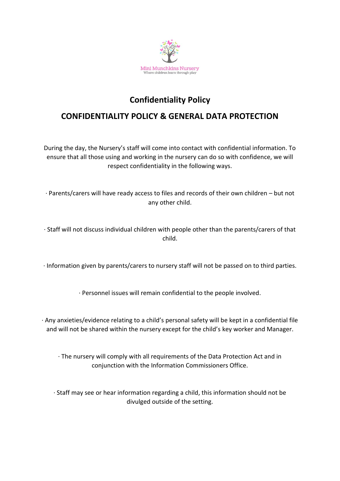

## **Confidentiality Policy**

## **CONFIDENTIALITY POLICY & GENERAL DATA PROTECTION**

During the day, the Nursery's staff will come into contact with confidential information. To ensure that all those using and working in the nursery can do so with confidence, we will respect confidentiality in the following ways.

· Parents/carers will have ready access to files and records of their own children – but not any other child.

· Staff will not discuss individual children with people other than the parents/carers of that child.

· Information given by parents/carers to nursery staff will not be passed on to third parties.

· Personnel issues will remain confidential to the people involved.

· Any anxieties/evidence relating to a child's personal safety will be kept in a confidential file and will not be shared within the nursery except for the child's key worker and Manager.

· The nursery will comply with all requirements of the Data Protection Act and in conjunction with the Information Commissioners Office.

· Staff may see or hear information regarding a child, this information should not be divulged outside of the setting.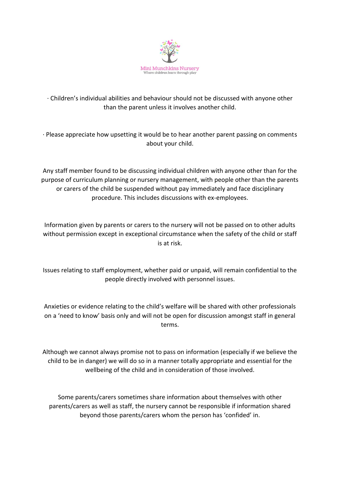

## · Children's individual abilities and behaviour should not be discussed with anyone other than the parent unless it involves another child.

· Please appreciate how upsetting it would be to hear another parent passing on comments about your child.

Any staff member found to be discussing individual children with anyone other than for the purpose of curriculum planning or nursery management, with people other than the parents or carers of the child be suspended without pay immediately and face disciplinary procedure. This includes discussions with ex-employees.

Information given by parents or carers to the nursery will not be passed on to other adults without permission except in exceptional circumstance when the safety of the child or staff is at risk.

Issues relating to staff employment, whether paid or unpaid, will remain confidential to the people directly involved with personnel issues.

Anxieties or evidence relating to the child's welfare will be shared with other professionals on a 'need to know' basis only and will not be open for discussion amongst staff in general terms.

Although we cannot always promise not to pass on information (especially if we believe the child to be in danger) we will do so in a manner totally appropriate and essential for the wellbeing of the child and in consideration of those involved.

Some parents/carers sometimes share information about themselves with other parents/carers as well as staff, the nursery cannot be responsible if information shared beyond those parents/carers whom the person has 'confided' in.